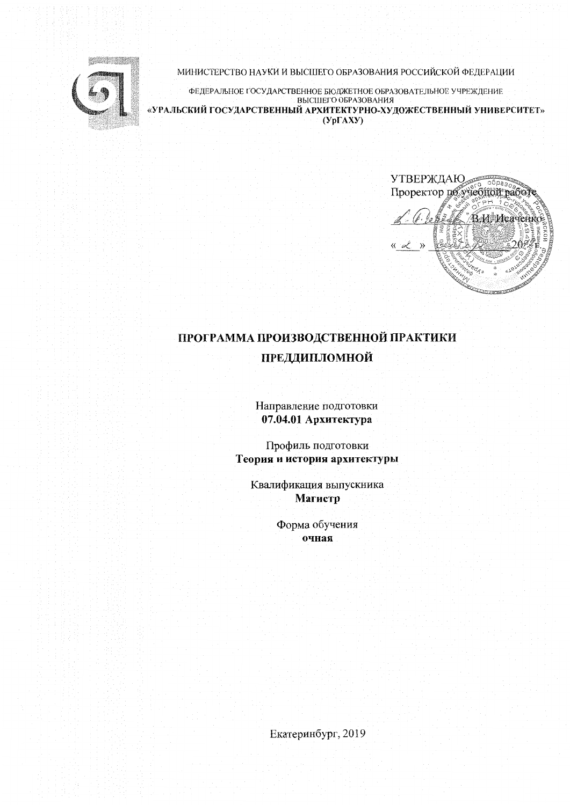

МИНИСТЕРСТВО НАУКИ И ВЫСШЕГО ОБРАЗОВАНИЯ РОССИЙСКОЙ ФЕДЕРАЦИИ

ФЕДЕРАЛЬНОЕ ГОСУДАРСТВЕННОЕ БЮДЖЕТНОЕ ОБРАЗОВАТЕЛЬНОЕ УЧРЕЖДЕНИЕ ВЫСШЕГО ОБРАЗОВАНИЯ «УРАЛЬСКИЙ ГОСУДАРСТВЕННЫЙ АРХИТЕКТУРНО-ХУДОЖЕСТВЕННЫЙ УНИВЕРСИТЕТ»  $(Yp\Gamma A X Y)$ 

УТВЕРЖДАЮ obpas<sub>o</sub> Проректор по учебной рабо ВИДисачение

# ПРОГРАММА ПРОИЗВОДСТВЕННОЙ ПРАКТИКИ ПРЕДДИПЛОМНОЙ

Направление подготовки 07.04.01 Архитектура

Профиль подготовки Теория и история архитектуры

Квалификация выпускника Магистр

> Форма обучения очная

Екатеринбург, 2019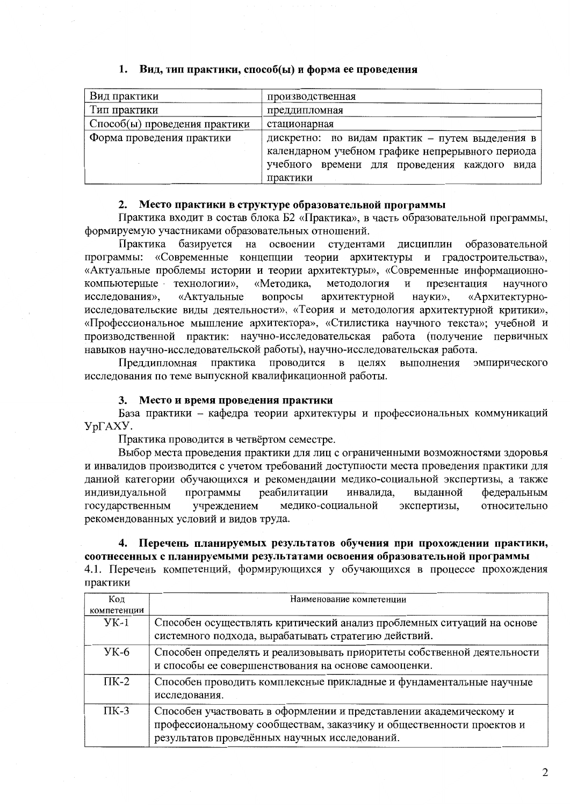## 1. Вид, тип практики, способ(ы) и форма ее проведения

| Вид практики                  | производственная                                 |  |  |
|-------------------------------|--------------------------------------------------|--|--|
| Тип практики                  | преддипломная                                    |  |  |
| Способ(ы) проведения практики | стационарная                                     |  |  |
| Форма проведения практики     | дискретно: по видам практик - путем выделения в  |  |  |
|                               | календарном учебном графике непрерывного периода |  |  |
|                               | учебного времени для проведения каждого<br>вида  |  |  |
|                               | практики                                         |  |  |

#### 2. Место практики в структуре образовательной программы

Практика входит в состав блока Б2 «Практика», в часть образовательной программы, формируемую участниками образовательных отношений.

студентами дисциплин образовательной Практика базируется на освоении программы: «Современные концепции теории архитектуры и градостроительства», «Актуальные проблемы истории и теории архитектуры», «Современные информационнонаучного компьютерные технологии», «Методика, методология  $\mathbf{H}$ презентация «Актуальные вопросы архитектурной науки», «Архитектурноисследования». исследовательские виды деятельности», «Теория и методология архитектурной критики», «Профессиональное мышление архитектора», «Стилистика научного текста»; учебной и производственной практик: научно-исследовательская работа (получение первичных навыков научно-исследовательской работы), научно-исследовательская работа.

Преддипломная практика проводится в целях выполнения эмпирического исследования по теме выпускной квалификационной работы.

#### 3. Место и время проведения практики

База практики - кафедра теории архитектуры и профессиональных коммуникаций УрГАХУ.

Практика проводится в четвёртом семестре.

Выбор места проведения практики для лиц с ограниченными возможностями здоровья и инвалидов производится с учетом требований доступности места проведения практики для данной категории обучающихся и рекомендации медико-социальной экспертизы, а также программы индивидуальной реабилитации инвалида, выданной федеральным государственным учреждением медико-социальной экспертизы, относительно рекомендованных условий и видов труда.

## 4. Перечень планируемых результатов обучения при прохождении практики, соотнесенных с планируемыми результатами освоения образовательной программы

4.1. Перечень компетенций, формирующихся у обучающихся в процессе прохождения практики

| Код         | Наименование компетенции                                                                                                                                                                    |  |  |
|-------------|---------------------------------------------------------------------------------------------------------------------------------------------------------------------------------------------|--|--|
| компетенции |                                                                                                                                                                                             |  |  |
| $YK-1$      | Способен осуществлять критический анализ проблемных ситуаций на основе<br>системного подхода, вырабатывать стратегию действий.                                                              |  |  |
| $YK-6$      | Способен определять и реализовывать приоритеты собственной деятельности<br>и способы ее совершенствования на основе самооценки.                                                             |  |  |
| $\Pi K-2$   | Способен проводить комплексные прикладные и фундаментальные научные<br>исследования.                                                                                                        |  |  |
| $\Pi K-3$   | Способен участвовать в оформлении и представлении академическому и<br>профессиональному сообществам, заказчику и общественности проектов и<br>результатов проведённых научных исследований. |  |  |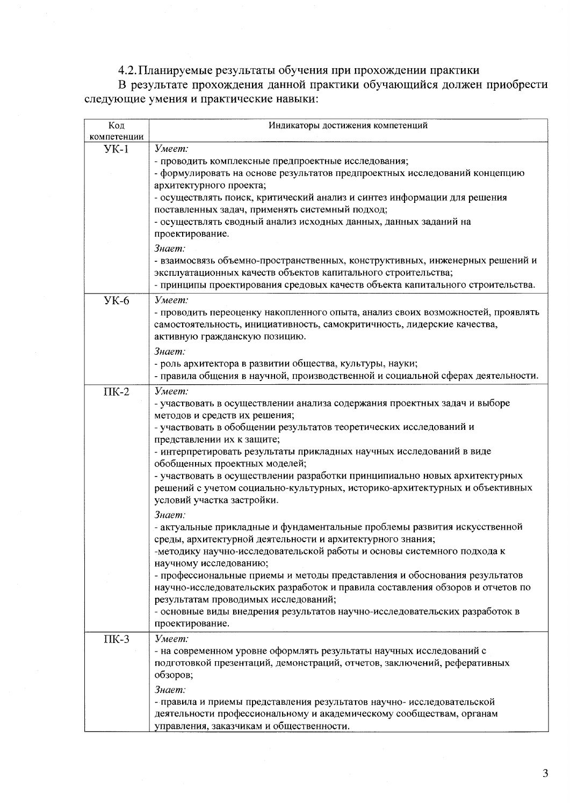## 4.2. Планируемые результаты обучения при прохождении практики

В результате прохождения данной практики обучающийся должен приобрести следующие умения и практические навыки:

| Код         | Индикаторы достижения компетенций                                                                                                                          |  |  |  |  |
|-------------|------------------------------------------------------------------------------------------------------------------------------------------------------------|--|--|--|--|
| компетенции |                                                                                                                                                            |  |  |  |  |
| $YK-1$      | Умеет:                                                                                                                                                     |  |  |  |  |
|             | - проводить комплексные предпроектные исследования;<br>- формулировать на основе результатов предпроектных исследований концепцию                          |  |  |  |  |
|             | архитектурного проекта;                                                                                                                                    |  |  |  |  |
|             | - осуществлять поиск, критический анализ и синтез информации для решения                                                                                   |  |  |  |  |
|             | поставленных задач, применять системный подход;                                                                                                            |  |  |  |  |
|             | - осуществлять сводный анализ исходных данных, данных заданий на                                                                                           |  |  |  |  |
|             | проектирование.                                                                                                                                            |  |  |  |  |
|             | Знает:                                                                                                                                                     |  |  |  |  |
|             | - взаимосвязь объемно-пространственных, конструктивных, инженерных решений и                                                                               |  |  |  |  |
|             | эксплуатационных качеств объектов капитального строительства;                                                                                              |  |  |  |  |
|             | - принципы проектирования средовых качеств объекта капитального строительства.                                                                             |  |  |  |  |
| $YK-6$      | Умеет:                                                                                                                                                     |  |  |  |  |
|             |                                                                                                                                                            |  |  |  |  |
|             | - проводить переоценку накопленного опыта, анализ своих возможностей, проявлять<br>самостоятельность, инициативность, самокритичность, лидерские качества, |  |  |  |  |
|             | активную гражданскую позицию.                                                                                                                              |  |  |  |  |
|             |                                                                                                                                                            |  |  |  |  |
|             | Знает:<br>- роль архитектора в развитии общества, культуры, науки;                                                                                         |  |  |  |  |
|             | - правила общения в научной, производственной и социальной сферах деятельности.                                                                            |  |  |  |  |
|             |                                                                                                                                                            |  |  |  |  |
| $\Pi K-2$   | Умеет:                                                                                                                                                     |  |  |  |  |
|             | - участвовать в осуществлении анализа содержания проектных задач и выборе                                                                                  |  |  |  |  |
|             | методов и средств их решения;<br>- участвовать в обобщении результатов теоретических исследований и                                                        |  |  |  |  |
|             | представлении их к защите;                                                                                                                                 |  |  |  |  |
|             | - интерпретировать результаты прикладных научных исследований в виде                                                                                       |  |  |  |  |
|             | обобщенных проектных моделей;                                                                                                                              |  |  |  |  |
|             | - участвовать в осуществлении разработки принципиально новых архитектурных                                                                                 |  |  |  |  |
|             | решений с учетом социально-культурных, историко-архитектурных и объективных                                                                                |  |  |  |  |
|             | условий участка застройки.                                                                                                                                 |  |  |  |  |
|             | Знает:                                                                                                                                                     |  |  |  |  |
|             | - актуальные прикладные и фундаментальные проблемы развития искусственной                                                                                  |  |  |  |  |
|             | среды, архитектурной деятельности и архитектурного знания;                                                                                                 |  |  |  |  |
|             | -методику научно-исследовательской работы и основы системного подхода к                                                                                    |  |  |  |  |
|             | научному исследованию;                                                                                                                                     |  |  |  |  |
|             | - профессиональные приемы и методы представления и обоснования результатов                                                                                 |  |  |  |  |
|             | научно-исследовательских разработок и правила составления обзоров и отчетов по                                                                             |  |  |  |  |
|             | результатам проводимых исследований;                                                                                                                       |  |  |  |  |
|             | - основные виды внедрения результатов научно-исследовательских разработок в                                                                                |  |  |  |  |
|             | проектирование.                                                                                                                                            |  |  |  |  |
| $\Pi K-3$   | Умеет:                                                                                                                                                     |  |  |  |  |
|             | - на современном уровне оформлять результаты научных исследований с                                                                                        |  |  |  |  |
|             | подготовкой презентаций, демонстраций, отчетов, заключений, реферативных                                                                                   |  |  |  |  |
|             | обзоров;                                                                                                                                                   |  |  |  |  |
|             | Знает:                                                                                                                                                     |  |  |  |  |
|             | - правила и приемы представления результатов научно- исследовательской                                                                                     |  |  |  |  |
|             | деятельности профессиональному и академическому сообществам, органам                                                                                       |  |  |  |  |
|             | управления, заказчикам и общественности.                                                                                                                   |  |  |  |  |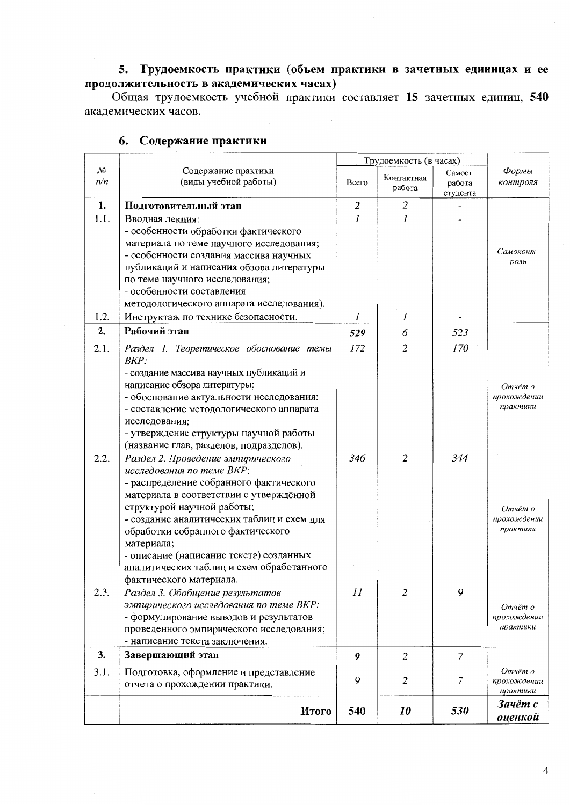## 5. Трудоемкость практики (объем практики в зачетных единицах и ее продолжительность в академических часах)

Общая трудоемкость учебной практики составляет 15 зачетных единиц, 540 академических часов.

|            |                                                                                                                                                                                                                                                                                                                                      | Трудоемкость (в часах) |                      |                               |                                                |
|------------|--------------------------------------------------------------------------------------------------------------------------------------------------------------------------------------------------------------------------------------------------------------------------------------------------------------------------------------|------------------------|----------------------|-------------------------------|------------------------------------------------|
| No<br>n/n  | Содержание практики<br>(виды учебной работы)                                                                                                                                                                                                                                                                                         | Всего                  | Контактная<br>работа | Самост.<br>работа<br>студента | Формы<br>контроля                              |
| 1.<br>1.1. | Подготовительный этап<br>Вводная лекция:<br>- особенности обработки фактического<br>материала по теме научного исследования;<br>- особенности создания массива научных<br>публикаций и написания обзора литературы<br>по теме научного исследования;<br>- особенности составления<br>методологического аппарата исследования).       | 2<br>1                 | $\overline{2}$<br>1  |                               | Самоконт-<br>$p$ <sub>O</sub> $n$ <sub>b</sub> |
| 1.2.       | Инструктаж по технике безопасности.                                                                                                                                                                                                                                                                                                  | $\mathfrak{I}$         | 1                    |                               |                                                |
| 2.<br>2.1. | Рабочий этап<br>Раздел 1. Теоретическое обоснование темы<br>BKP:<br>- создание массива научных публикаций и                                                                                                                                                                                                                          | 529<br>172             | 6<br>2               | 523<br>170                    |                                                |
| 2.2.       | написание обзора литературы;<br>- обоснование актуальности исследования;<br>- составление методологического аппарата<br>исследования;<br>- утверждение структуры научной работы<br>(название глав, разделов, подразделов).<br>Раздел 2. Проведение эмпирического<br>исследования по теме ВКР:                                        | 346                    | $\overline{2}$       | 344                           | Отчёт о<br>прохождении<br>практики             |
|            | - распределение собранного фактического<br>материала в соответствии с утверждённой<br>структурой научной работы;<br>- создание аналитических таблиц и схем для<br>обработки собранного фактического<br>материала;<br>- описание (написание текста) созданных<br>аналитических таблиц и схем обработанного<br>фактического материала. |                        |                      |                               | Отчёт о<br>прохождении<br>практики             |
| 2.3.       | Раздел 3. Обобщение результатов<br>эмпирического исследования по теме ВКР:<br>- формулирование выводов и результатов<br>проведенного эмпирического исследования;<br>- написание текста заключения.                                                                                                                                   | II                     | $\overline{2}$       | 9                             | Отчёт о<br>прохождении<br>практики             |
| 3.         | Завершающий этап                                                                                                                                                                                                                                                                                                                     | 9                      | $\overline{2}$       | $\overline{7}$                |                                                |
| 3.1.       | Подготовка, оформление и представление<br>отчета о прохождении практики.                                                                                                                                                                                                                                                             | 9                      | $\overline{2}$       | 7                             | Отчёт о<br>прохождении<br>практики             |
|            | Итого                                                                                                                                                                                                                                                                                                                                | 540                    | 10                   | 530                           | Зачёт с<br>оиенкой                             |

## 6. Содержание практики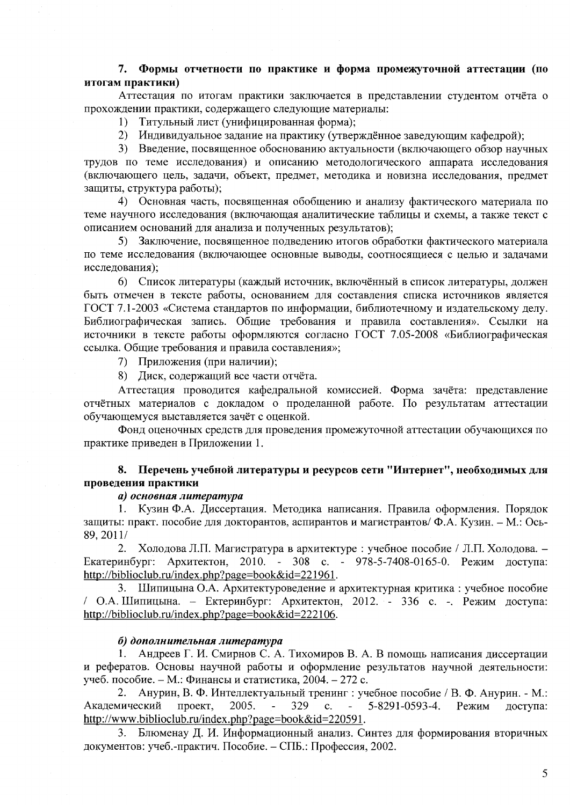## 7. Формы отчетности по практике и форма промежуточной аттестации (по итогам практики)

Аттестация по итогам практики заключается в представлении студентом отчёта о прохождении практики, содержащего следующие материалы:

Титульный лист (унифицированная форма);  $1)$ 

2) Индивидуальное задание на практику (утверждённое заведующим кафедрой);

3) Введение, посвященное обоснованию актуальности (включающего обзор научных трудов по теме исследования) и описанию методологического аппарата исследования (включающего цель, задачи, объект, предмет, методика и новизна исследования, предмет защиты, структура работы);

4) Основная часть, посвященная обобщению и анализу фактического материала по теме научного исследования (включающая аналитические таблицы и схемы, а также текст с описанием оснований для анализа и полученных результатов);

5) Заключение, посвященное подведению итогов обработки фактического материала по теме исследования (включающее основные выводы, соотносящиеся с целью и задачами исследования);

6) Список литературы (каждый источник, включённый в список литературы, должен быть отмечен в тексте работы, основанием для составления списка источников является ГОСТ 7.1-2003 «Система стандартов по информации, библиотечному и издательскому делу. Библиографическая запись. Общие требования и правила составления». Ссылки на источники в тексте работы оформляются согласно ГОСТ 7.05-2008 «Библиографическая ссылка. Общие требования и правила составления»;

7) Приложения (при наличии);

8) Диск, содержащий все части отчёта.

Аттестация проводится кафедральной комиссией. Форма зачёта: представление отчётных материалов с докладом о проделанной работе. По результатам аттестации обучающемуся выставляется зачёт с оценкой.

Фонд оценочных средств для проведения промежуточной аттестации обучающихся по практике приведен в Приложении 1.

## 8. Перечень учебной литературы и ресурсов сети "Интернет", необходимых для проведения практики

#### а) основная литература

Кузин Ф.А. Диссертация. Методика написания. Правила оформления. Порядок  $1.$ защиты: практ. пособие для докторантов, аспирантов и магистрантов/ Ф.А. Кузин. - М.: Ось-89, 2011/

 $2.$ Холодова Л.П. Магистратура в архитектуре: учебное пособие / Л.П. Холодова. -Екатеринбург: Архитектон, 2010. - 308 с. - 978-5-7408-0165-0. Режим доступа: http://biblioclub.ru/index.php?page=book&id=221961.

Шипицына О.А. Архитектуроведение и архитектурная критика: учебное пособие / О.А. Шипицына. - Ектеринбург: Архитектон, 2012. - 336 с. - Режим доступа: http://biblioclub.ru/index.php?page=book&id=222106.

#### б) дополнительная литература

1. Андреев Г. И. Смирнов С. А. Тихомиров В. А. В помощь написания диссертации и рефератов. Основы научной работы и оформление результатов научной деятельности: учеб. пособие. - М.: Финансы и статистика, 2004. - 272 с.

Анурин, В. Ф. Интеллектуальный тренинг : учебное пособие / В. Ф. Анурин. - М.: 2. 2005. 329 5-8291-0593-4. Академический проект.  $\mathbb{Z}^{\mathbb{Z}}$  $\mathbf{c}$ . Режим лоступа: http://www.biblioclub.ru/index.php?page=book&id=220591.

3. Блюменау Д. И. Информационный анализ. Синтез для формирования вторичных документов: учеб.-практич. Пособие. - СПБ.: Профессия, 2002.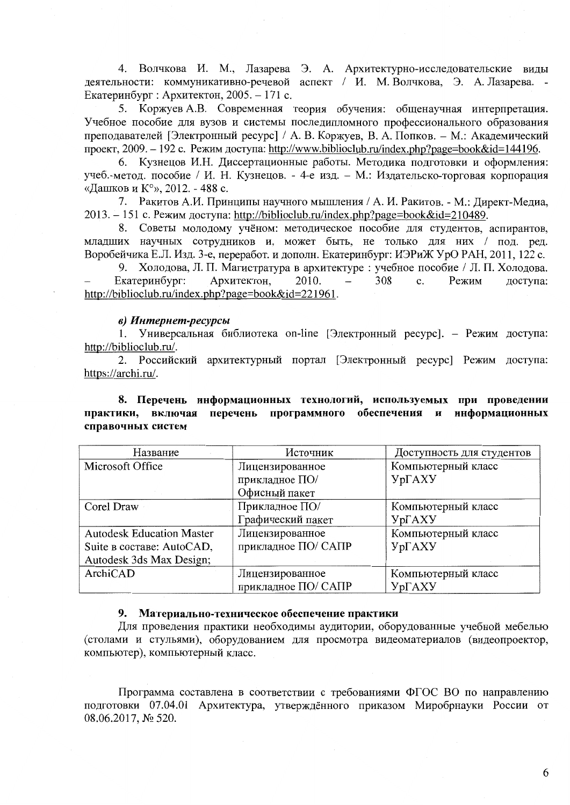4. Волчкова И. М., Лазарева Э. А. Архитектурно-исследовательские виды деятельности: коммуникативно-речевой аспект / И. М. Волчкова, Э. А. Лазарева. -Екатеринбург : Архитектон, 2005. - 171 с.

5. Коржуев А.В. Современная теория обучения: общенаучная интерпретация. Учебное пособие для вузов и системы последипломного профессионального образования преподавателей [Электронный ресурс] / А. В. Коржуев, В. А. Попков. - М.: Академический проект, 2009. - 192 с. Режим доступа: http://www.biblioclub.ru/index.php?page=book&id=144196.

6. Кузнецов И.Н. Диссертационные работы. Методика подготовки и оформления: учеб.-метод. пособие / И. Н. Кузнецов. - 4-е изд. - М.: Издательско-торговая корпорация «Дашков и К°», 2012. - 488 с.

7. Ракитов А.И. Принципы научного мышления / А. И. Ракитов. - М.: Директ-Медиа, 2013. - 151 с. Режим доступа: http://biblioclub.ru/index.php?page=book&id=210489.

8. Советы молодому учёном: методическое пособие для студентов, аспирантов, младших научных сотрудников и, может быть, не только для них / под. ред. Воробейчика Е.Л. Изд. 3-е, переработ. и дополн. Екатеринбург: ИЭРиЖ УрО РАН, 2011, 122 с.

9. Холодова, Л. П. Магистратура в архитектуре: учебное пособие / Л. П. Холодова. Екатеринбург: Архитектон, 2010. 308  $\mathbf{c}$ . Режим доступа: http://biblioclub.ru/index.php?page=book&id=221961.

#### в) Интернет-ресурсы

1. Универсальная библиотека on-line [Электронный ресурс]. - Режим доступа: http://biblioclub.ru/.

2. Российский архитектурный портал [Электронный ресурс] Режим доступа: https://archi.ru/.

## 8. Перечень информационных технологий, используемых при проведении практики, включая перечень программного обеспечения и информационных справочных систем

| Название                         | Источник            | Доступность для студентов |  |
|----------------------------------|---------------------|---------------------------|--|
| Microsoft Office                 | Лицензированное     | Компьютерный класс        |  |
|                                  | прикладное ПО/      | УрГАХУ                    |  |
|                                  | Офисный пакет       |                           |  |
| Corel Draw                       | Прикладное ПО/      | Компьютерный класс        |  |
|                                  | Графический пакет   | УрГАХУ                    |  |
| <b>Autodesk Education Master</b> | Лицензированное     | Компьютерный класс        |  |
| Suite в составе: AutoCAD,        | прикладное ПО/ САПР | $Yp\Gamma AXY$            |  |
| Autodesk 3ds Max Design;         |                     |                           |  |
| ArchiCAD                         | Лицензированное     | Компьютерный класс        |  |
|                                  | прикладное ПО/САПР  | <b>YpFAXY</b>             |  |

#### 9. Материально-техническое обеспечение практики

Для проведения практики необходимы аудитории, оборудованные учебной мебелью (столами и стульями), оборудованием для просмотра видеоматериалов (видеопроектор, компьютер), компьютерный класс.

Программа составлена в соответствии с требованиями ФГОС ВО по направлению подготовки 07.04.01 Архитектура, утверждённого приказом Миробрнауки России от 08.06.2017, № 520.